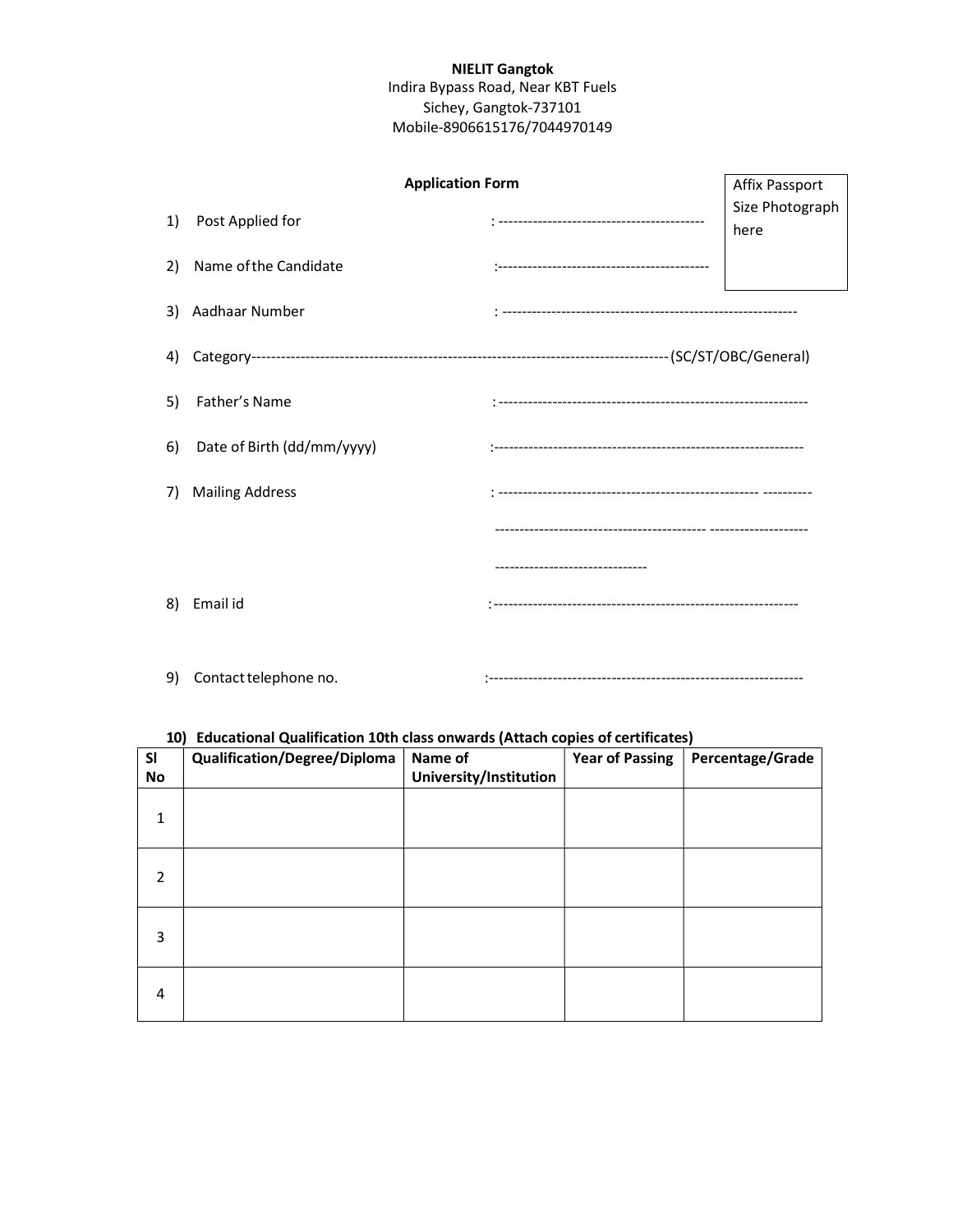## NIELIT Gangtok Indira Bypass Road, Near KBT Fuels Sichey, Gangtok-737101 Mobile-8906615176/7044970149

| <b>Application Form</b> |                            |                          | Affix Passport          |
|-------------------------|----------------------------|--------------------------|-------------------------|
| 1)                      | Post Applied for           |                          | Size Photograph<br>here |
| 2)                      | Name of the Candidate      |                          |                         |
|                         | 3) Aadhaar Number          |                          |                         |
| 4)                      |                            |                          |                         |
| 5)                      | Father's Name              |                          |                         |
| <sup>6)</sup>           | Date of Birth (dd/mm/yyyy) |                          |                         |
| 7)                      | <b>Mailing Address</b>     |                          |                         |
|                         |                            |                          |                         |
|                         |                            | ------------------------ |                         |
| 8)                      | Email id                   |                          |                         |

9) Contact telephone no. :----------------------------------------------------------------

## 10) Educational Qualification 10th class onwards (Attach copies of certificates)

| <b>SI</b><br>No | <b>Qualification/Degree/Diploma</b> | Name of<br>University/Institution | <b>Year of Passing</b> | Percentage/Grade |
|-----------------|-------------------------------------|-----------------------------------|------------------------|------------------|
| 1               |                                     |                                   |                        |                  |
| 2               |                                     |                                   |                        |                  |
| 3               |                                     |                                   |                        |                  |
| 4               |                                     |                                   |                        |                  |